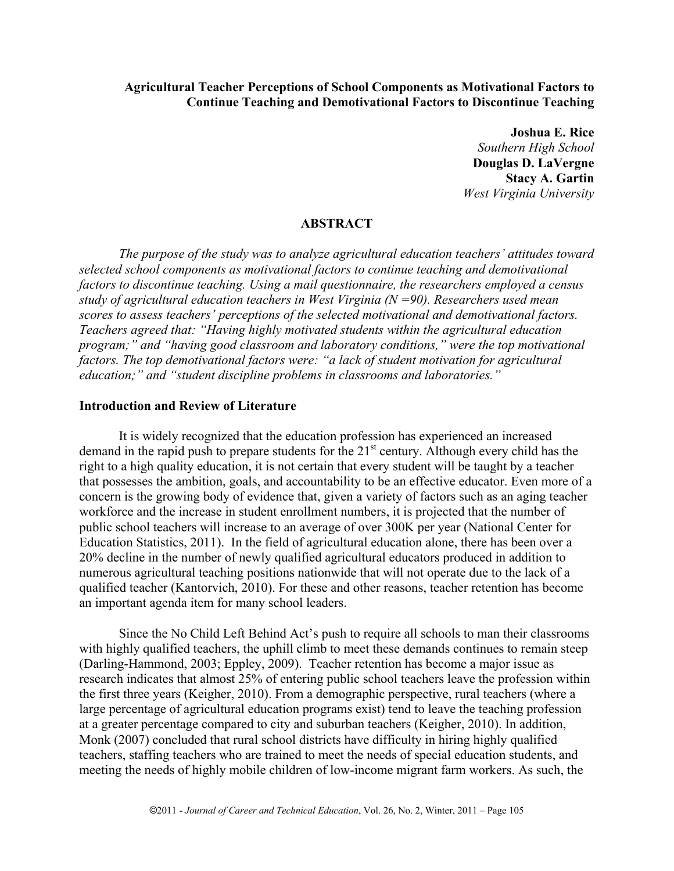# **Agricultural Teacher Perceptions of School Components as Motivational Factors to Continue Teaching and Demotivational Factors to Discontinue Teaching**

**Joshua E. Rice** *Southern High School* **Douglas D. LaVergne Stacy A. Gartin** *West Virginia University*

# **ABSTRACT**

*The purpose of the study was to analyze agricultural education teachers' attitudes toward selected school components as motivational factors to continue teaching and demotivational factors to discontinue teaching. Using a mail questionnaire, the researchers employed a census study of agricultural education teachers in West Virginia (N =90). Researchers used mean scores to assess teachers' perceptions of the selected motivational and demotivational factors. Teachers agreed that: "Having highly motivated students within the agricultural education program;" and "having good classroom and laboratory conditions," were the top motivational factors. The top demotivational factors were: "a lack of student motivation for agricultural education;" and "student discipline problems in classrooms and laboratories."*

# **Introduction and Review of Literature**

It is widely recognized that the education profession has experienced an increased demand in the rapid push to prepare students for the 21<sup>st</sup> century. Although every child has the right to a high quality education, it is not certain that every student will be taught by a teacher that possesses the ambition, goals, and accountability to be an effective educator. Even more of a concern is the growing body of evidence that, given a variety of factors such as an aging teacher workforce and the increase in student enrollment numbers, it is projected that the number of public school teachers will increase to an average of over 300K per year (National Center for Education Statistics, 2011). In the field of agricultural education alone, there has been over a 20% decline in the number of newly qualified agricultural educators produced in addition to numerous agricultural teaching positions nationwide that will not operate due to the lack of a qualified teacher (Kantorvich, 2010). For these and other reasons, teacher retention has become an important agenda item for many school leaders.

Since the No Child Left Behind Act's push to require all schools to man their classrooms with highly qualified teachers, the uphill climb to meet these demands continues to remain steep (Darling-Hammond, 2003; Eppley, 2009). Teacher retention has become a major issue as research indicates that almost 25% of entering public school teachers leave the profession within the first three years (Keigher, 2010). From a demographic perspective, rural teachers (where a large percentage of agricultural education programs exist) tend to leave the teaching profession at a greater percentage compared to city and suburban teachers (Keigher, 2010). In addition, Monk (2007) concluded that rural school districts have difficulty in hiring highly qualified teachers, staffing teachers who are trained to meet the needs of special education students, and meeting the needs of highly mobile children of low-income migrant farm workers. As such, the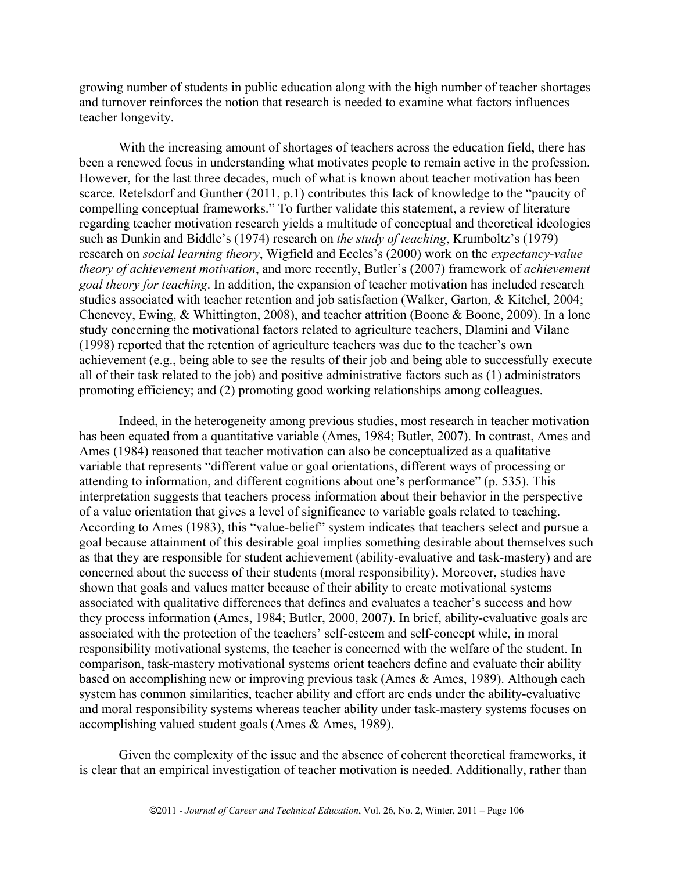growing number of students in public education along with the high number of teacher shortages and turnover reinforces the notion that research is needed to examine what factors influences teacher longevity.

With the increasing amount of shortages of teachers across the education field, there has been a renewed focus in understanding what motivates people to remain active in the profession. However, for the last three decades, much of what is known about teacher motivation has been scarce. Retelsdorf and Gunther (2011, p.1) contributes this lack of knowledge to the "paucity of compelling conceptual frameworks." To further validate this statement, a review of literature regarding teacher motivation research yields a multitude of conceptual and theoretical ideologies such as Dunkin and Biddle's (1974) research on *the study of teaching*, Krumboltz's (1979) research on *social learning theory*, Wigfield and Eccles's (2000) work on the *expectancy-value theory of achievement motivation*, and more recently, Butler's (2007) framework of *achievement goal theory for teaching*. In addition, the expansion of teacher motivation has included research studies associated with teacher retention and job satisfaction (Walker, Garton, & Kitchel, 2004; Chenevey, Ewing, & Whittington, 2008), and teacher attrition (Boone & Boone, 2009). In a lone study concerning the motivational factors related to agriculture teachers, Dlamini and Vilane (1998) reported that the retention of agriculture teachers was due to the teacher's own achievement (e.g., being able to see the results of their job and being able to successfully execute all of their task related to the job) and positive administrative factors such as (1) administrators promoting efficiency; and (2) promoting good working relationships among colleagues.

Indeed, in the heterogeneity among previous studies, most research in teacher motivation has been equated from a quantitative variable (Ames, 1984; Butler, 2007). In contrast, Ames and Ames (1984) reasoned that teacher motivation can also be conceptualized as a qualitative variable that represents "different value or goal orientations, different ways of processing or attending to information, and different cognitions about one's performance" (p. 535). This interpretation suggests that teachers process information about their behavior in the perspective of a value orientation that gives a level of significance to variable goals related to teaching. According to Ames (1983), this "value-belief" system indicates that teachers select and pursue a goal because attainment of this desirable goal implies something desirable about themselves such as that they are responsible for student achievement (ability-evaluative and task-mastery) and are concerned about the success of their students (moral responsibility). Moreover, studies have shown that goals and values matter because of their ability to create motivational systems associated with qualitative differences that defines and evaluates a teacher's success and how they process information (Ames, 1984; Butler, 2000, 2007). In brief, ability-evaluative goals are associated with the protection of the teachers' self-esteem and self-concept while, in moral responsibility motivational systems, the teacher is concerned with the welfare of the student. In comparison, task-mastery motivational systems orient teachers define and evaluate their ability based on accomplishing new or improving previous task (Ames & Ames, 1989). Although each system has common similarities, teacher ability and effort are ends under the ability-evaluative and moral responsibility systems whereas teacher ability under task-mastery systems focuses on accomplishing valued student goals (Ames & Ames, 1989).

Given the complexity of the issue and the absence of coherent theoretical frameworks, it is clear that an empirical investigation of teacher motivation is needed. Additionally, rather than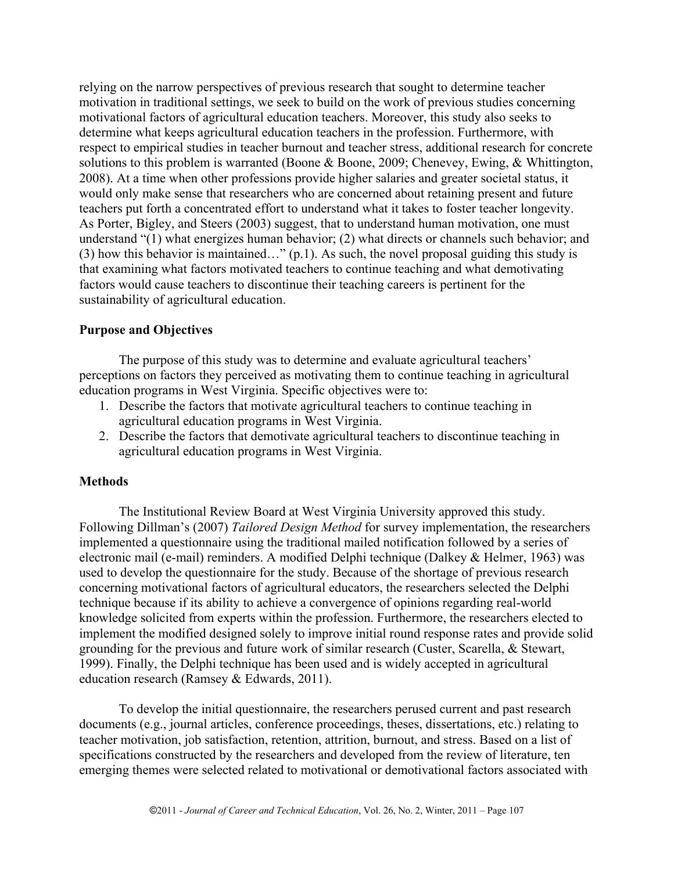relying on the narrow perspectives of previous research that sought to determine teacher motivation in traditional settings, we seek to build on the work of previous studies concerning motivational factors of agricultural education teachers. Moreover, this study also seeks to determine what keeps agricultural education teachers in the profession. Furthermore, with respect to empirical studies in teacher burnout and teacher stress, additional research for concrete solutions to this problem is warranted (Boone & Boone, 2009; Chenevey, Ewing, & Whittington, 2008). At a time when other professions provide higher salaries and greater societal status, it would only make sense that researchers who are concerned about retaining present and future teachers put forth a concentrated effort to understand what it takes to foster teacher longevity. As Porter, Bigley, and Steers (2003) suggest, that to understand human motivation, one must understand "(1) what energizes human behavior; (2) what directs or channels such behavior; and (3) how this behavior is maintained…" (p.1). As such, the novel proposal guiding this study is that examining what factors motivated teachers to continue teaching and what demotivating factors would cause teachers to discontinue their teaching careers is pertinent for the sustainability of agricultural education.

### **Purpose and Objectives**

The purpose of this study was to determine and evaluate agricultural teachers' perceptions on factors they perceived as motivating them to continue teaching in agricultural education programs in West Virginia. Specific objectives were to:

- 1. Describe the factors that motivate agricultural teachers to continue teaching in agricultural education programs in West Virginia.
- 2. Describe the factors that demotivate agricultural teachers to discontinue teaching in agricultural education programs in West Virginia.

#### **Methods**

The Institutional Review Board at West Virginia University approved this study. Following Dillman's (2007) *Tailored Design Method* for survey implementation, the researchers implemented a questionnaire using the traditional mailed notification followed by a series of electronic mail (e-mail) reminders. A modified Delphi technique (Dalkey & Helmer, 1963) was used to develop the questionnaire for the study. Because of the shortage of previous research concerning motivational factors of agricultural educators, the researchers selected the Delphi technique because if its ability to achieve a convergence of opinions regarding real-world knowledge solicited from experts within the profession. Furthermore, the researchers elected to implement the modified designed solely to improve initial round response rates and provide solid grounding for the previous and future work of similar research (Custer, Scarella, & Stewart, 1999). Finally, the Delphi technique has been used and is widely accepted in agricultural education research (Ramsey & Edwards, 2011).

To develop the initial questionnaire, the researchers perused current and past research documents (e.g., journal articles, conference proceedings, theses, dissertations, etc.) relating to teacher motivation, job satisfaction, retention, attrition, burnout, and stress. Based on a list of specifications constructed by the researchers and developed from the review of literature, ten emerging themes were selected related to motivational or demotivational factors associated with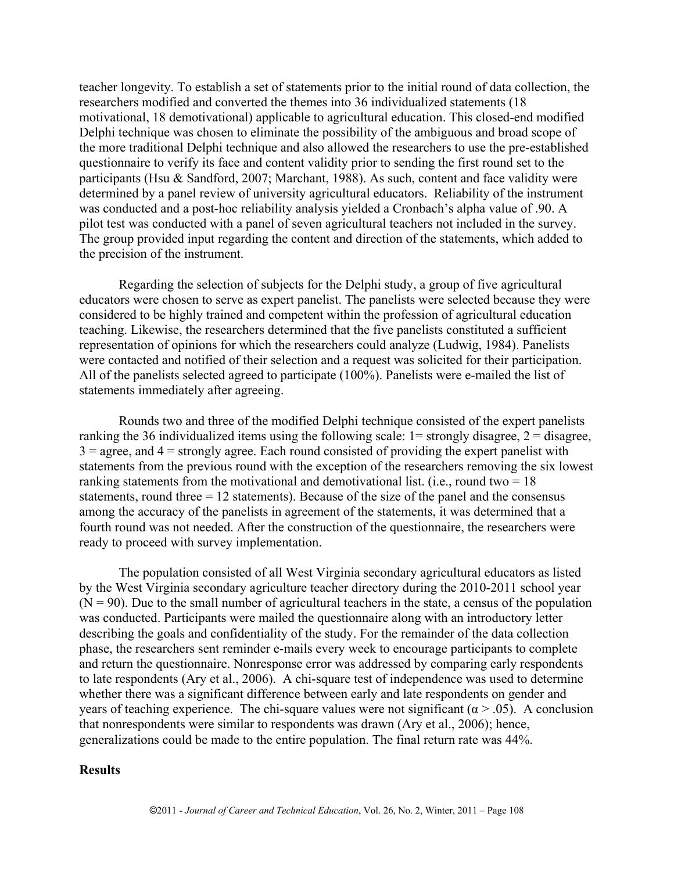teacher longevity. To establish a set of statements prior to the initial round of data collection, the researchers modified and converted the themes into 36 individualized statements (18 motivational, 18 demotivational) applicable to agricultural education. This closed-end modified Delphi technique was chosen to eliminate the possibility of the ambiguous and broad scope of the more traditional Delphi technique and also allowed the researchers to use the pre-established questionnaire to verify its face and content validity prior to sending the first round set to the participants (Hsu & Sandford, 2007; Marchant, 1988). As such, content and face validity were determined by a panel review of university agricultural educators. Reliability of the instrument was conducted and a post-hoc reliability analysis yielded a Cronbach's alpha value of .90. A pilot test was conducted with a panel of seven agricultural teachers not included in the survey. The group provided input regarding the content and direction of the statements, which added to the precision of the instrument.

Regarding the selection of subjects for the Delphi study, a group of five agricultural educators were chosen to serve as expert panelist. The panelists were selected because they were considered to be highly trained and competent within the profession of agricultural education teaching. Likewise, the researchers determined that the five panelists constituted a sufficient representation of opinions for which the researchers could analyze (Ludwig, 1984). Panelists were contacted and notified of their selection and a request was solicited for their participation. All of the panelists selected agreed to participate (100%). Panelists were e-mailed the list of statements immediately after agreeing.

Rounds two and three of the modified Delphi technique consisted of the expert panelists ranking the 36 individualized items using the following scale:  $1 =$  strongly disagree,  $2 =$  disagree,  $3 = \text{agree}$ , and  $4 = \text{strongly agree}$ . Each round consisted of providing the expert panelist with statements from the previous round with the exception of the researchers removing the six lowest ranking statements from the motivational and demotivational list. (i.e., round two  $= 18$ ) statements, round three  $= 12$  statements). Because of the size of the panel and the consensus among the accuracy of the panelists in agreement of the statements, it was determined that a fourth round was not needed. After the construction of the questionnaire, the researchers were ready to proceed with survey implementation.

The population consisted of all West Virginia secondary agricultural educators as listed by the West Virginia secondary agriculture teacher directory during the 2010-2011 school year  $(N = 90)$ . Due to the small number of agricultural teachers in the state, a census of the population was conducted. Participants were mailed the questionnaire along with an introductory letter describing the goals and confidentiality of the study. For the remainder of the data collection phase, the researchers sent reminder e-mails every week to encourage participants to complete and return the questionnaire. Nonresponse error was addressed by comparing early respondents to late respondents (Ary et al., 2006). A chi-square test of independence was used to determine whether there was a significant difference between early and late respondents on gender and years of teaching experience. The chi-square values were not significant ( $\alpha$  > .05). A conclusion that nonrespondents were similar to respondents was drawn (Ary et al., 2006); hence, generalizations could be made to the entire population. The final return rate was 44%.

#### **Results**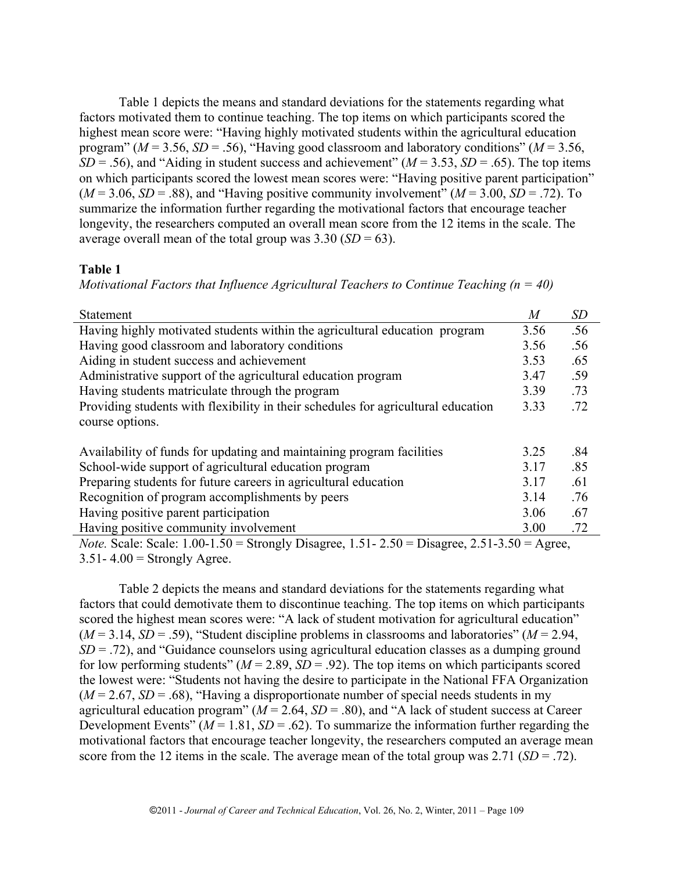Table 1 depicts the means and standard deviations for the statements regarding what factors motivated them to continue teaching. The top items on which participants scored the highest mean score were: "Having highly motivated students within the agricultural education program" ( $M = 3.56$ ,  $SD = .56$ ), "Having good classroom and laboratory conditions" ( $M = 3.56$ ,  $SD = .56$ ), and "Aiding in student success and achievement" ( $M = 3.53$ ,  $SD = .65$ ). The top items on which participants scored the lowest mean scores were: "Having positive parent participation"  $(M = 3.06, SD = .88)$ , and "Having positive community involvement"  $(M = 3.00, SD = .72)$ . To summarize the information further regarding the motivational factors that encourage teacher longevity, the researchers computed an overall mean score from the 12 items in the scale. The average overall mean of the total group was  $3.30$  (*SD* = 63).

# **Table 1**

*Motivational Factors that Influence Agricultural Teachers to Continue Teaching (n = 40)* 

| <b>Statement</b>                                                                                         | M    | SD  |  |  |
|----------------------------------------------------------------------------------------------------------|------|-----|--|--|
| Having highly motivated students within the agricultural education program                               | 3.56 | .56 |  |  |
| Having good classroom and laboratory conditions                                                          | 3.56 | .56 |  |  |
| Aiding in student success and achievement                                                                | 3.53 | .65 |  |  |
| Administrative support of the agricultural education program                                             | 3.47 | .59 |  |  |
| Having students matriculate through the program                                                          | 3.39 | .73 |  |  |
| Providing students with flexibility in their schedules for agricultural education                        | 3.33 | .72 |  |  |
| course options.                                                                                          |      |     |  |  |
| Availability of funds for updating and maintaining program facilities                                    | 3.25 | .84 |  |  |
| School-wide support of agricultural education program                                                    | 3.17 | .85 |  |  |
| Preparing students for future careers in agricultural education                                          | 3.17 | .61 |  |  |
| Recognition of program accomplishments by peers                                                          | 3.14 | .76 |  |  |
| Having positive parent participation                                                                     | 3.06 | .67 |  |  |
| Having positive community involvement                                                                    | 3.00 | .72 |  |  |
| <i>Note.</i> Scale: Scale: $1.00-1.50$ = Strongly Disagree, $1.51-2.50$ = Disagree, $2.51-3.50$ = Agree, |      |     |  |  |

 $3.51 - 4.00 =$  Strongly Agree.

Table 2 depicts the means and standard deviations for the statements regarding what factors that could demotivate them to discontinue teaching. The top items on which participants scored the highest mean scores were: "A lack of student motivation for agricultural education"  $(M = 3.14, SD = .59)$ , "Student discipline problems in classrooms and laboratories"  $(M = 2.94,$  $SD = .72$ ), and "Guidance counselors using agricultural education classes as a dumping ground for low performing students"  $(M = 2.89, SD = .92)$ . The top items on which participants scored the lowest were: "Students not having the desire to participate in the National FFA Organization  $(M = 2.67, SD = .68)$ , "Having a disproportionate number of special needs students in my agricultural education program" ( $M = 2.64$ ,  $SD = .80$ ), and "A lack of student success at Career Development Events" ( $M = 1.81$ ,  $SD = .62$ ). To summarize the information further regarding the motivational factors that encourage teacher longevity, the researchers computed an average mean score from the 12 items in the scale. The average mean of the total group was 2.71 (*SD* = .72).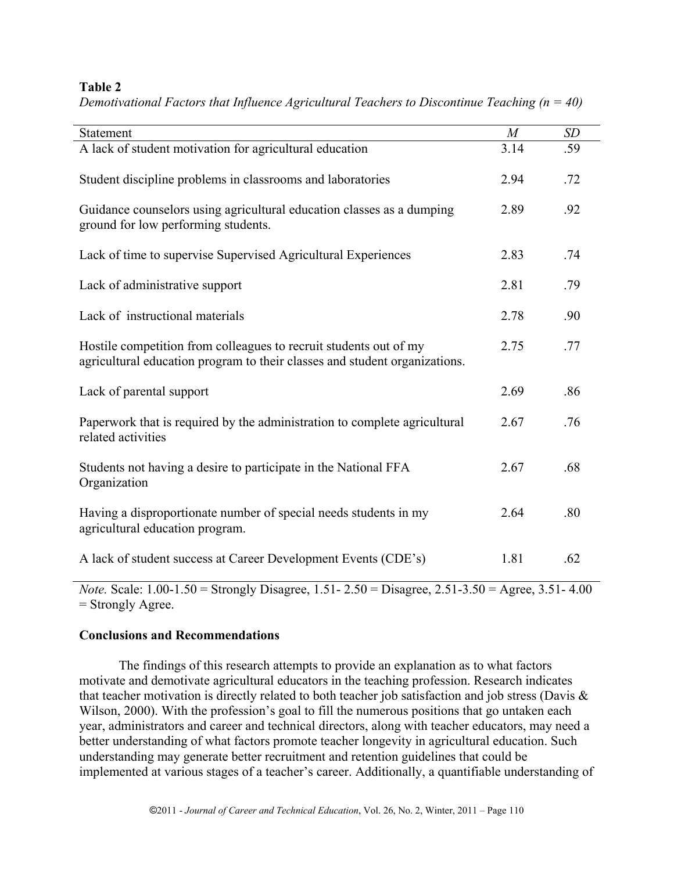# **Table 2**

| Statement                                                                                                                                       | M    | SD  |
|-------------------------------------------------------------------------------------------------------------------------------------------------|------|-----|
| A lack of student motivation for agricultural education                                                                                         | 3.14 | .59 |
| Student discipline problems in classrooms and laboratories                                                                                      | 2.94 | .72 |
| Guidance counselors using agricultural education classes as a dumping<br>ground for low performing students.                                    | 2.89 | .92 |
| Lack of time to supervise Supervised Agricultural Experiences                                                                                   | 2.83 | .74 |
| Lack of administrative support                                                                                                                  | 2.81 | .79 |
| Lack of instructional materials                                                                                                                 | 2.78 | .90 |
| Hostile competition from colleagues to recruit students out of my<br>agricultural education program to their classes and student organizations. | 2.75 | .77 |
| Lack of parental support                                                                                                                        | 2.69 | .86 |
| Paperwork that is required by the administration to complete agricultural<br>related activities                                                 | 2.67 | .76 |
| Students not having a desire to participate in the National FFA<br>Organization                                                                 | 2.67 | .68 |
| Having a disproportionate number of special needs students in my<br>agricultural education program.                                             | 2.64 | .80 |
| A lack of student success at Career Development Events (CDE's)                                                                                  | 1.81 | .62 |

*Demotivational Factors that Influence Agricultural Teachers to Discontinue Teaching (n = 40)* 

*Note.* Scale: 1.00-1.50 = Strongly Disagree, 1.51- 2.50 = Disagree, 2.51-3.50 = Agree, 3.51- 4.00 = Strongly Agree.

# **Conclusions and Recommendations**

The findings of this research attempts to provide an explanation as to what factors motivate and demotivate agricultural educators in the teaching profession. Research indicates that teacher motivation is directly related to both teacher job satisfaction and job stress (Davis & Wilson, 2000). With the profession's goal to fill the numerous positions that go untaken each year, administrators and career and technical directors, along with teacher educators, may need a better understanding of what factors promote teacher longevity in agricultural education. Such understanding may generate better recruitment and retention guidelines that could be implemented at various stages of a teacher's career. Additionally, a quantifiable understanding of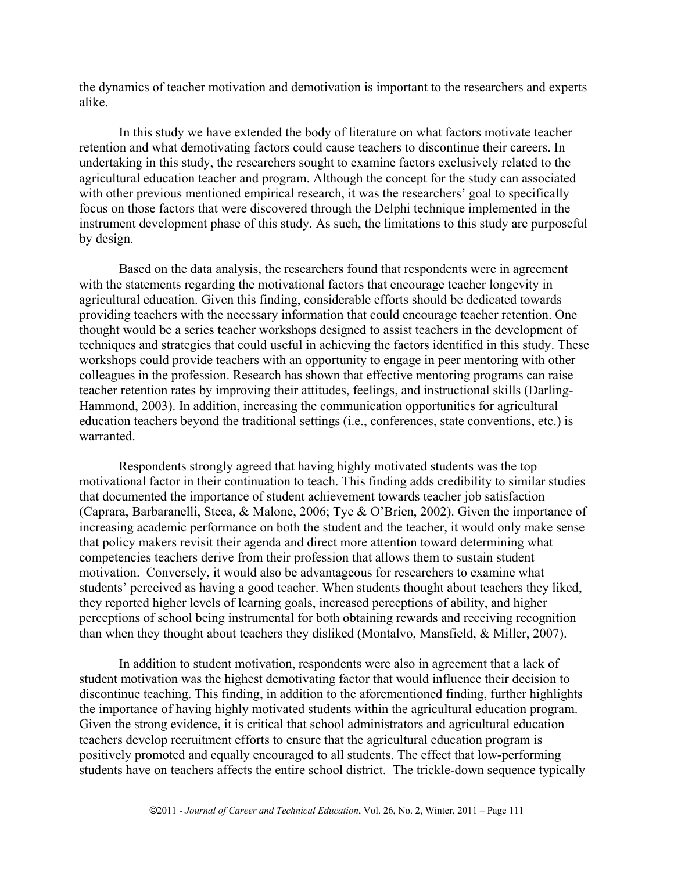the dynamics of teacher motivation and demotivation is important to the researchers and experts alike.

In this study we have extended the body of literature on what factors motivate teacher retention and what demotivating factors could cause teachers to discontinue their careers. In undertaking in this study, the researchers sought to examine factors exclusively related to the agricultural education teacher and program. Although the concept for the study can associated with other previous mentioned empirical research, it was the researchers' goal to specifically focus on those factors that were discovered through the Delphi technique implemented in the instrument development phase of this study. As such, the limitations to this study are purposeful by design.

Based on the data analysis, the researchers found that respondents were in agreement with the statements regarding the motivational factors that encourage teacher longevity in agricultural education. Given this finding, considerable efforts should be dedicated towards providing teachers with the necessary information that could encourage teacher retention. One thought would be a series teacher workshops designed to assist teachers in the development of techniques and strategies that could useful in achieving the factors identified in this study. These workshops could provide teachers with an opportunity to engage in peer mentoring with other colleagues in the profession. Research has shown that effective mentoring programs can raise teacher retention rates by improving their attitudes, feelings, and instructional skills (Darling-Hammond, 2003). In addition, increasing the communication opportunities for agricultural education teachers beyond the traditional settings (i.e., conferences, state conventions, etc.) is warranted.

Respondents strongly agreed that having highly motivated students was the top motivational factor in their continuation to teach. This finding adds credibility to similar studies that documented the importance of student achievement towards teacher job satisfaction (Caprara, Barbaranelli, Steca, & Malone, 2006; Tye & O'Brien, 2002). Given the importance of increasing academic performance on both the student and the teacher, it would only make sense that policy makers revisit their agenda and direct more attention toward determining what competencies teachers derive from their profession that allows them to sustain student motivation. Conversely, it would also be advantageous for researchers to examine what students' perceived as having a good teacher. When students thought about teachers they liked, they reported higher levels of learning goals, increased perceptions of ability, and higher perceptions of school being instrumental for both obtaining rewards and receiving recognition than when they thought about teachers they disliked (Montalvo, Mansfield, & Miller, 2007).

In addition to student motivation, respondents were also in agreement that a lack of student motivation was the highest demotivating factor that would influence their decision to discontinue teaching. This finding, in addition to the aforementioned finding, further highlights the importance of having highly motivated students within the agricultural education program. Given the strong evidence, it is critical that school administrators and agricultural education teachers develop recruitment efforts to ensure that the agricultural education program is positively promoted and equally encouraged to all students. The effect that low-performing students have on teachers affects the entire school district. The trickle-down sequence typically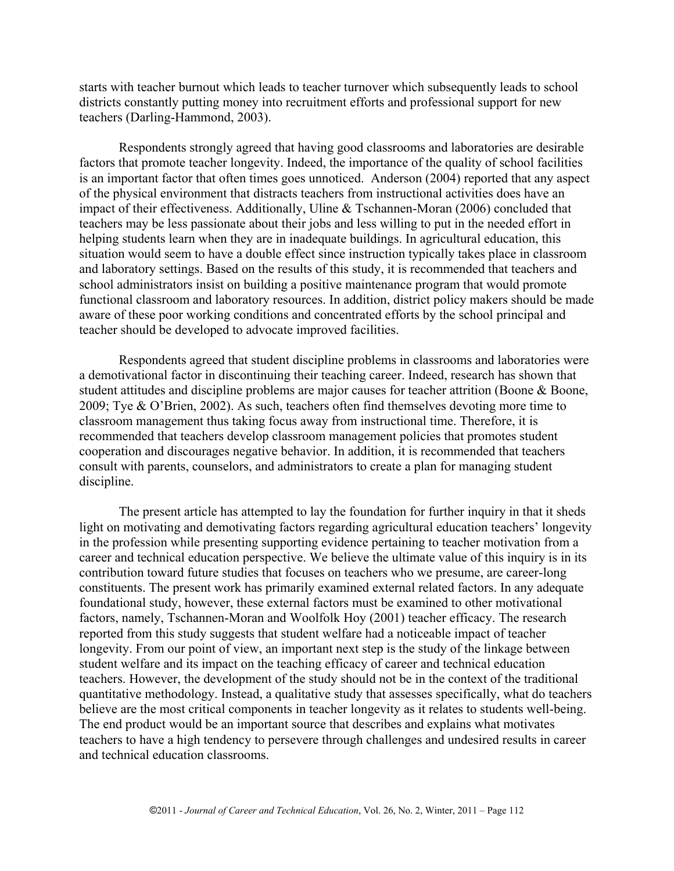starts with teacher burnout which leads to teacher turnover which subsequently leads to school districts constantly putting money into recruitment efforts and professional support for new teachers (Darling-Hammond, 2003).

Respondents strongly agreed that having good classrooms and laboratories are desirable factors that promote teacher longevity. Indeed, the importance of the quality of school facilities is an important factor that often times goes unnoticed. Anderson (2004) reported that any aspect of the physical environment that distracts teachers from instructional activities does have an impact of their effectiveness. Additionally, Uline & Tschannen-Moran (2006) concluded that teachers may be less passionate about their jobs and less willing to put in the needed effort in helping students learn when they are in inadequate buildings. In agricultural education, this situation would seem to have a double effect since instruction typically takes place in classroom and laboratory settings. Based on the results of this study, it is recommended that teachers and school administrators insist on building a positive maintenance program that would promote functional classroom and laboratory resources. In addition, district policy makers should be made aware of these poor working conditions and concentrated efforts by the school principal and teacher should be developed to advocate improved facilities.

Respondents agreed that student discipline problems in classrooms and laboratories were a demotivational factor in discontinuing their teaching career. Indeed, research has shown that student attitudes and discipline problems are major causes for teacher attrition (Boone & Boone, 2009; Tye & O'Brien, 2002). As such, teachers often find themselves devoting more time to classroom management thus taking focus away from instructional time. Therefore, it is recommended that teachers develop classroom management policies that promotes student cooperation and discourages negative behavior. In addition, it is recommended that teachers consult with parents, counselors, and administrators to create a plan for managing student discipline.

The present article has attempted to lay the foundation for further inquiry in that it sheds light on motivating and demotivating factors regarding agricultural education teachers' longevity in the profession while presenting supporting evidence pertaining to teacher motivation from a career and technical education perspective. We believe the ultimate value of this inquiry is in its contribution toward future studies that focuses on teachers who we presume, are career-long constituents. The present work has primarily examined external related factors. In any adequate foundational study, however, these external factors must be examined to other motivational factors, namely, Tschannen-Moran and Woolfolk Hoy (2001) teacher efficacy. The research reported from this study suggests that student welfare had a noticeable impact of teacher longevity. From our point of view, an important next step is the study of the linkage between student welfare and its impact on the teaching efficacy of career and technical education teachers. However, the development of the study should not be in the context of the traditional quantitative methodology. Instead, a qualitative study that assesses specifically, what do teachers believe are the most critical components in teacher longevity as it relates to students well-being. The end product would be an important source that describes and explains what motivates teachers to have a high tendency to persevere through challenges and undesired results in career and technical education classrooms.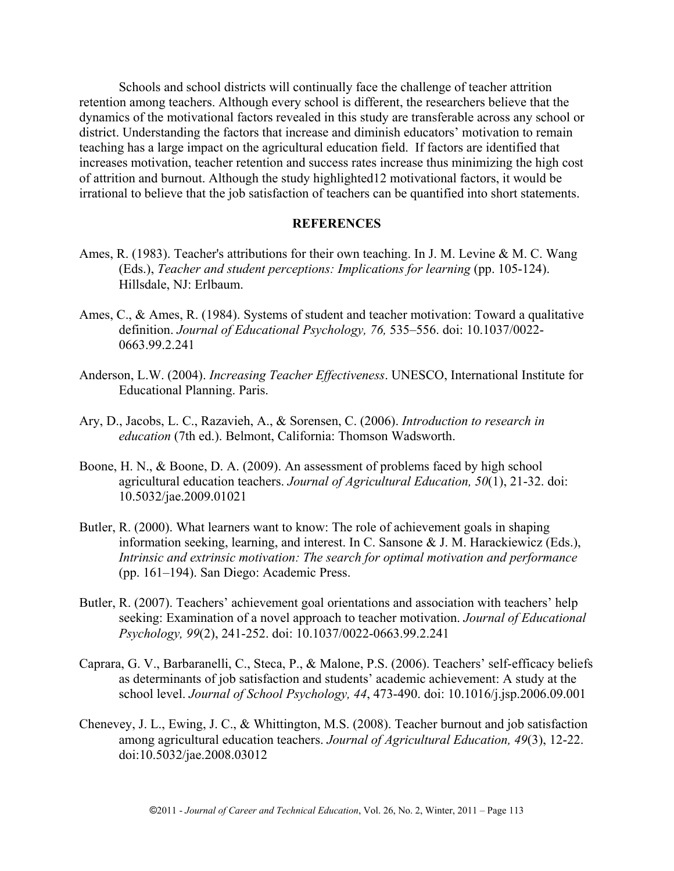Schools and school districts will continually face the challenge of teacher attrition retention among teachers. Although every school is different, the researchers believe that the dynamics of the motivational factors revealed in this study are transferable across any school or district. Understanding the factors that increase and diminish educators' motivation to remain teaching has a large impact on the agricultural education field. If factors are identified that increases motivation, teacher retention and success rates increase thus minimizing the high cost of attrition and burnout. Although the study highlighted12 motivational factors, it would be irrational to believe that the job satisfaction of teachers can be quantified into short statements.

#### **REFERENCES**

- Ames, R. (1983). Teacher's attributions for their own teaching. In J. M. Levine & M. C. Wang (Eds.), *Teacher and student perceptions: Implications for learning* (pp. 105-124). Hillsdale, NJ: Erlbaum.
- Ames, C., & Ames, R. (1984). Systems of student and teacher motivation: Toward a qualitative definition. *Journal of Educational Psychology, 76,* 535–556. doi: 10.1037/0022- 0663.99.2.241
- Anderson, L.W. (2004). *Increasing Teacher Effectiveness*. UNESCO, International Institute for Educational Planning. Paris.
- Ary, D., Jacobs, L. C., Razavieh, A., & Sorensen, C. (2006). *Introduction to research in education* (7th ed.). Belmont, California: Thomson Wadsworth.
- Boone, H. N., & Boone, D. A. (2009). An assessment of problems faced by high school agricultural education teachers. *Journal of Agricultural Education, 50*(1), 21-32. doi: 10.5032/jae.2009.01021
- Butler, R. (2000). What learners want to know: The role of achievement goals in shaping information seeking, learning, and interest. In C. Sansone & J. M. Harackiewicz (Eds.), *Intrinsic and extrinsic motivation: The search for optimal motivation and performance*  (pp. 161–194). San Diego: Academic Press.
- Butler, R. (2007). Teachers' achievement goal orientations and association with teachers' help seeking: Examination of a novel approach to teacher motivation. *Journal of Educational Psychology, 99*(2), 241-252. doi: 10.1037/0022-0663.99.2.241
- Caprara, G. V., Barbaranelli, C., Steca, P., & Malone, P.S. (2006). Teachers' self-efficacy beliefs as determinants of job satisfaction and students' academic achievement: A study at the school level. *Journal of School Psychology, 44*, 473-490. doi: 10.1016/j.jsp.2006.09.001
- Chenevey, J. L., Ewing, J. C., & Whittington, M.S. (2008). Teacher burnout and job satisfaction among agricultural education teachers. *Journal of Agricultural Education, 49*(3), 12-22. doi:10.5032/jae.2008.03012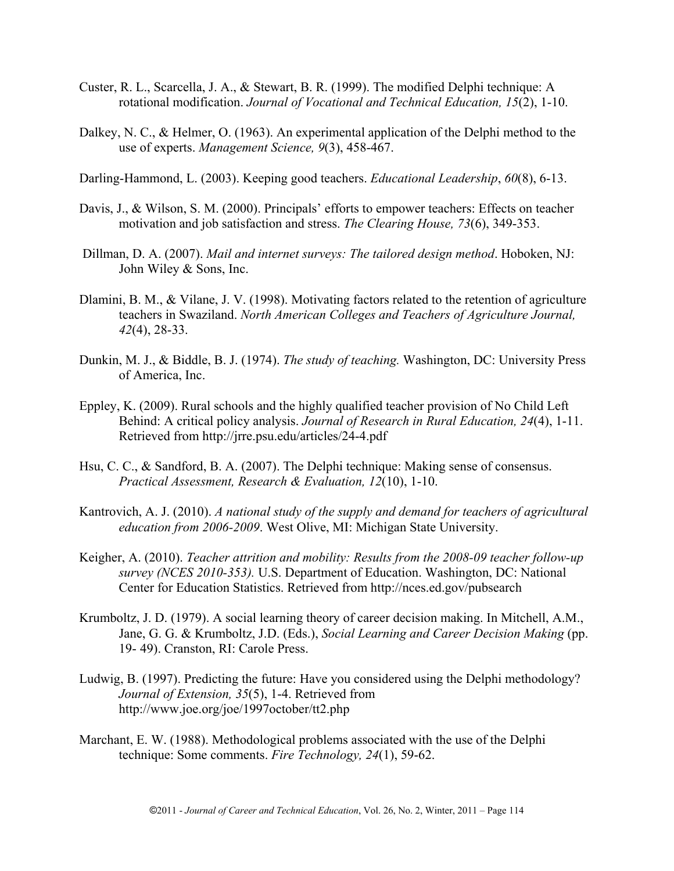- Custer, R. L., Scarcella, J. A., & Stewart, B. R. (1999). The modified Delphi technique: A rotational modification. *Journal of Vocational and Technical Education, 15*(2), 1-10.
- Dalkey, N. C., & Helmer, O. (1963). An experimental application of the Delphi method to the use of experts. *Management Science, 9*(3), 458-467.

Darling-Hammond, L. (2003). Keeping good teachers. *Educational Leadership*, *60*(8), 6-13.

- Davis, J., & Wilson, S. M. (2000). Principals' efforts to empower teachers: Effects on teacher motivation and job satisfaction and stress. *The Clearing House, 73*(6), 349-353.
- Dillman, D. A. (2007). *Mail and internet surveys: The tailored design method*. Hoboken, NJ: John Wiley & Sons, Inc.
- Dlamini, B. M., & Vilane, J. V. (1998). Motivating factors related to the retention of agriculture teachers in Swaziland. *North American Colleges and Teachers of Agriculture Journal, 42*(4), 28-33.
- Dunkin, M. J., & Biddle, B. J. (1974). *The study of teaching.* Washington, DC: University Press of America, Inc.
- Eppley, K. (2009). Rural schools and the highly qualified teacher provision of No Child Left Behind: A critical policy analysis. *Journal of Research in Rural Education, 24*(4), 1-11. Retrieved from http://jrre.psu.edu/articles/24-4.pdf
- Hsu, C. C., & Sandford, B. A. (2007). The Delphi technique: Making sense of consensus. *Practical Assessment, Research & Evaluation, 12*(10), 1-10.
- Kantrovich, A. J. (2010). *A national study of the supply and demand for teachers of agricultural education from 2006-2009*. West Olive, MI: Michigan State University.
- Keigher, A. (2010). *Teacher attrition and mobility: Results from the 2008-09 teacher follow-up survey (NCES 2010-353).* U.S. Department of Education. Washington, DC: National Center for Education Statistics. Retrieved from http://nces.ed.gov/pubsearch
- Krumboltz, J. D. (1979). A social learning theory of career decision making. In Mitchell, A.M., Jane, G. G. & Krumboltz, J.D. (Eds.), *Social Learning and Career Decision Making* (pp. 19-49). Cranston, RI: Carole Press.
- Ludwig, B. (1997). Predicting the future: Have you considered using the Delphi methodology? *Journal of Extension, 35*(5), 1-4. Retrieved from http://www.joe.org/joe/1997october/tt2.php
- Marchant, E. W. (1988). Methodological problems associated with the use of the Delphi technique: Some comments. *Fire Technology, 24*(1), 59-62.